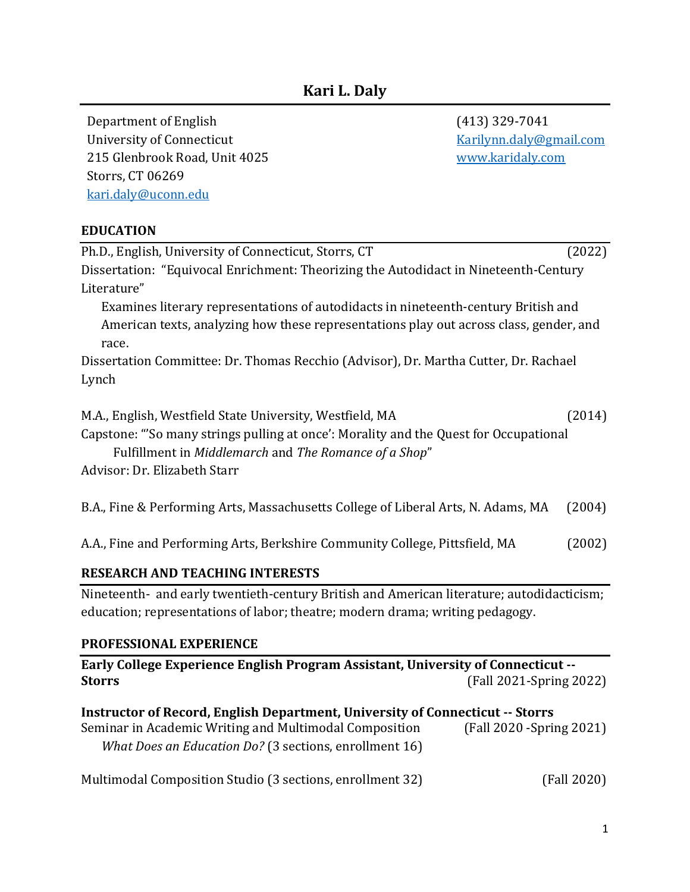Department of English (413) 329-7041 University of Connecticut The Connecticut [Karilynn.daly@gmail.com](mailto:Karilynn.daly@gmail.com) 215 Glenbrook Road, Unit 4025 [www.karidaly.com](file:///C:/Users/Kari/Documents/Prof%20Dev%20Stuff/Professional%20Documents/CVs%20and%20resumes/www.karidaly.com) Storrs, CT 06269 [kari.daly@uconn.edu](file:///C:/Users/Martha/AppData/Local/Microsoft/Windows/INetCache/Content.Outlook/7GXXWFWO/kari.daly@uconn.edu)

#### **EDUCATION**

| Ph.D., English, University of Connecticut, Storrs, CT                                  | (2022) |  |
|----------------------------------------------------------------------------------------|--------|--|
| Dissertation: "Equivocal Enrichment: Theorizing the Autodidact in Nineteenth-Century   |        |  |
| Literature"                                                                            |        |  |
| Examines literary representations of autodidacts in nineteenth-century British and     |        |  |
| American texts, analyzing how these representations play out across class, gender, and |        |  |
| race.                                                                                  |        |  |
| Dissertation Committee: Dr. Thomas Recchio (Advisor), Dr. Martha Cutter, Dr. Rachael   |        |  |
| Lynch                                                                                  |        |  |
| M.A., English, Westfield State University, Westfield, MA                               | (2014) |  |
| Capstone: "So many strings pulling at once': Morality and the Quest for Occupational   |        |  |
| Fulfillment in Middlemarch and The Romance of a Shop"                                  |        |  |
| Advisor: Dr. Elizabeth Starr                                                           |        |  |
| B.A., Fine & Performing Arts, Massachusetts College of Liberal Arts, N. Adams, MA      | (2004) |  |
| A.A., Fine and Performing Arts, Berkshire Community College, Pittsfield, MA            | (2002) |  |

#### **RESEARCH AND TEACHING INTERESTS**

Nineteenth- and early twentieth-century British and American literature; autodidacticism; education; representations of labor; theatre; modern drama; writing pedagogy.

#### **PROFESSIONAL EXPERIENCE**

| Early College Experience English Program Assistant, University of Connecticut --<br>(Fall 2021-Spring 2022)<br><b>Storrs</b>                                                                      |                           |
|---------------------------------------------------------------------------------------------------------------------------------------------------------------------------------------------------|---------------------------|
| Instructor of Record, English Department, University of Connecticut -- Storrs<br>Seminar in Academic Writing and Multimodal Composition<br>What Does an Education Do? (3 sections, enrollment 16) | (Fall 2020 - Spring 2021) |
| Multimodal Composition Studio (3 sections, enrollment 32)                                                                                                                                         | (Fall 2020)               |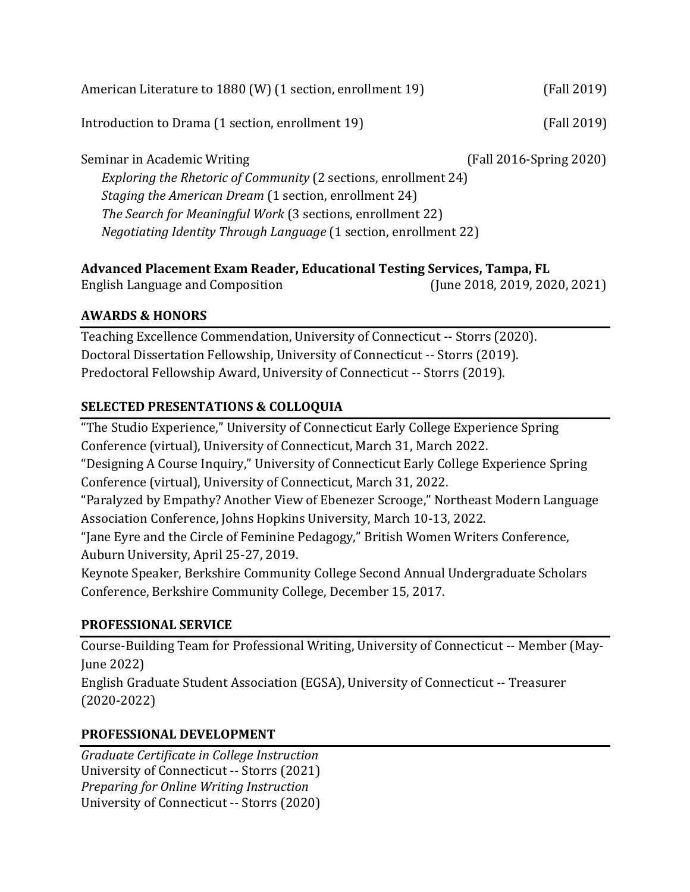| American Literature to 1880 (W) (1 section, enrollment 19)              | (Fall 2019)             |  |
|-------------------------------------------------------------------------|-------------------------|--|
| Introduction to Drama (1 section, enrollment 19)                        | (Fall 2019)             |  |
| Seminar in Academic Writing                                             | (Fall 2016-Spring 2020) |  |
| Exploring the Rhetoric of Community (2 sections, enrollment 24)         |                         |  |
| Staging the American Dream (1 section, enrollment 24)                   |                         |  |
| The Search for Meaningful Work (3 sections, enrollment 22)              |                         |  |
| <i>Negotiating Identity Through Language</i> (1 section, enrollment 22) |                         |  |

# **Advanced Placement Exam Reader, Educational Testing Services, Tampa, FL**

English Language and Composition (June 2018, 2019, 2020, 2021)

## **AWARDS & HONORS**

Teaching Excellence Commendation, University of Connecticut -- Storrs (2020). Doctoral Dissertation Fellowship, University of Connecticut -- Storrs (2019). Predoctoral Fellowship Award, University of Connecticut -- Storrs (2019).

## **SELECTED PRESENTATIONS & COLLOQUIA**

"The Studio Experience," University of Connecticut Early College Experience Spring Conference (virtual), University of Connecticut, March 31, March 2022. "Designing A Course Inquiry," University of Connecticut Early College Experience Spring Conference (virtual), University of Connecticut, March 31, 2022. "Paralyzed by Empathy? Another View of Ebenezer Scrooge," Northeast Modern Language Association Conference, Johns Hopkins University, March 10-13, 2022.

"Jane Eyre and the Circle of Feminine Pedagogy," British Women Writers Conference, Auburn University, April 25-27, 2019.

Keynote Speaker, Berkshire Community College Second Annual Undergraduate Scholars Conference, Berkshire Community College, December 15, 2017.

#### **PROFESSIONAL SERVICE**

Course-Building Team for Professional Writing, University of Connecticut -- Member (May-June 2022) English Graduate Student Association (EGSA), University of Connecticut -- Treasurer (2020-2022)

# **PROFESSIONAL DEVELOPMENT**

*Graduate Certificate in College Instruction*  University of Connecticut -- Storrs (2021) *Preparing for Online Writing Instruction* University of Connecticut -- Storrs (2020)